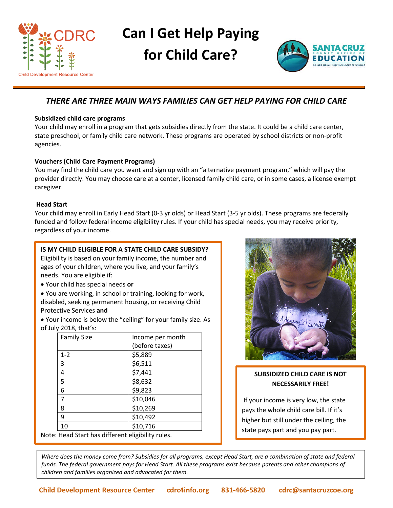

# **Can I Get Help Paying for Child Care?**



# *THERE ARE THREE MAIN WAYS FAMILIES CAN GET HELP PAYING FOR CHILD CARE*

## **Subsidized child care programs**

Your child may enroll in a program that gets subsidies directly from the state. It could be a child care center, state preschool, or family child care network. These programs are operated by school districts or non-profit agencies.

## **Vouchers (Child Care Payment Programs)**

You may find the child care you want and sign up with an "alternative payment program," which will pay the provider directly. You may choose care at a center, licensed family child care, or in some cases, a license exempt caregiver.

## **Head Start**

Your child may enroll in Early Head Start (0-3 yr olds) or Head Start (3-5 yr olds). These programs are federally funded and follow federal income eligibility rules. If your child has special needs, you may receive priority, regardless of your income.

## **IS MY CHILD ELIGIBLE FOR A STATE CHILD CARE SUBSIDY?**

Eligibility is based on your family income, the number and ages of your children, where you live, and your family's needs. You are eligible if:

- Your child has special needs **or**
- You are working, in school or training, looking for work, disabled, seeking permanent housing, or receiving Child Protective Services **and**
- Your income is below the "ceiling" for your family size. As of July 2018, that's:

| <b>Family Size</b>                                | Income per month |
|---------------------------------------------------|------------------|
|                                                   | (before taxes)   |
| $1 - 2$                                           | \$5,889          |
| 3                                                 | \$6,511          |
| 4                                                 | \$7,441          |
| 5                                                 | \$8,632          |
| 6                                                 | \$9,823          |
| 7                                                 | \$10,046         |
| 8                                                 | \$10,269         |
| 9                                                 | \$10,492         |
| 10                                                | \$10,716         |
| Note: Head Start has different eligibility rules. |                  |



## **SUBSIDIZED CHILD CARE IS NOT NECESSARILY FREE!**

If your income is very low, the state pays the whole child care bill. If it's higher but still under the ceiling, the state pays part and you pay part.

*Where does the money come from? Subsidies for all programs, except Head Start, are a combination of state and federal funds. The federal government pays for Head Start. All these programs exist because parents and other champions of children and families organized and advocated for them.*